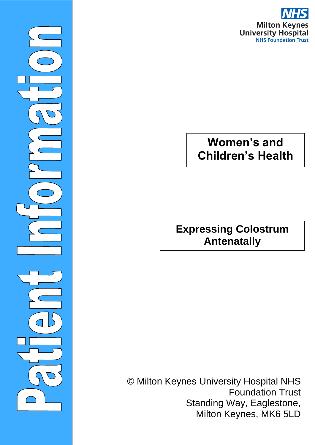

# **Women's and Children's Health**

©Milto

 $\overline{\phantom{0}}$ 

**Expressing Colostrum Antenatally**

© Milton Keynes University Hospital NHS Foundation Trust Standing Way, Eaglestone, Milton Keynes, MK6 5LD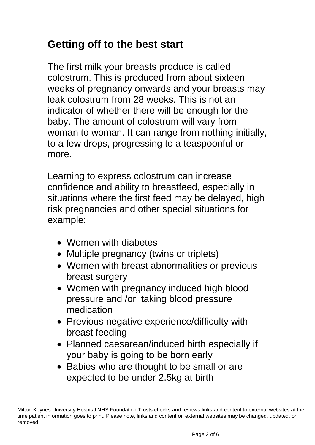# **Getting off to the best start**

The first milk your breasts produce is called colostrum. This is produced from about sixteen weeks of pregnancy onwards and your breasts may leak colostrum from 28 weeks. This is not an indicator of whether there will be enough for the baby. The amount of colostrum will vary from woman to woman. It can range from nothing initially, to a few drops, progressing to a teaspoonful or more.

Learning to express colostrum can increase confidence and ability to breastfeed, especially in situations where the first feed may be delayed, high risk pregnancies and other special situations for example:

- Women with diabetes
- Multiple pregnancy (twins or triplets)
- Women with breast abnormalities or previous breast surgery
- Women with pregnancy induced high blood pressure and /or taking blood pressure medication
- Previous negative experience/difficulty with breast feeding
- Planned caesarean/induced birth especially if your baby is going to be born early
- Babies who are thought to be small or are expected to be under 2.5kg at birth

Milton Keynes University Hospital NHS Foundation Trusts checks and reviews links and content to external websites at the time patient information goes to print. Please note, links and content on external websites may be changed, updated, or removed.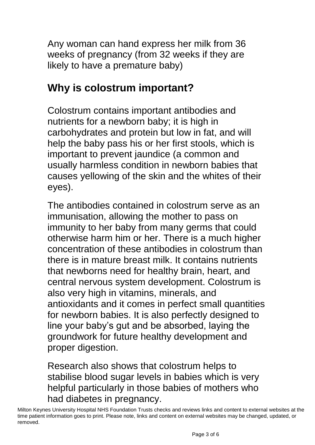Any woman can hand express her milk from 36 weeks of pregnancy (from 32 weeks if they are likely to have a premature baby)

#### **Why is colostrum important?**

Colostrum contains important antibodies and nutrients for a newborn baby; it is high in carbohydrates and protein but low in fat, and will help the baby pass his or her first stools, which is important to prevent jaundice (a common and usually harmless condition in newborn babies that causes yellowing of the skin and the whites of their eyes).

The antibodies contained in colostrum serve as an immunisation, allowing the mother to pass on immunity to her baby from many germs that could otherwise harm him or her. There is a much higher concentration of these antibodies in colostrum than there is in mature breast milk. It contains nutrients that newborns need for healthy brain, heart, and central nervous system development. Colostrum is also very high in vitamins, minerals, and antioxidants and it comes in perfect small quantities for newborn babies. It is also perfectly designed to line your baby's gut and be absorbed, laying the groundwork for future healthy development and proper digestion.

Research also shows that colostrum helps to stabilise blood sugar levels in babies which is very helpful particularly in those babies of mothers who had diabetes in pregnancy.

Milton Keynes University Hospital NHS Foundation Trusts checks and reviews links and content to external websites at the time patient information goes to print. Please note, links and content on external websites may be changed, updated, or removed.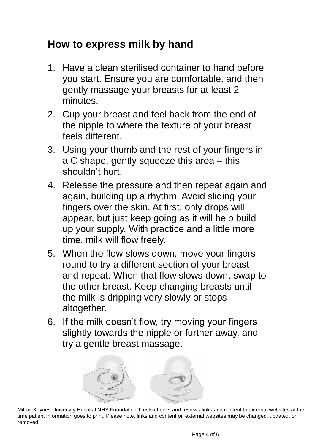# **How to express milk by hand**

- 1. Have a clean sterilised container to hand before you start. Ensure you are comfortable, and then gently massage your breasts for at least 2 minutes.
- 2. Cup your breast and feel back from the end of the nipple to where the texture of your breast feels different.
- 3. Using your thumb and the rest of your fingers in a C shape, gently squeeze this area – this shouldn't hurt.
- 4. Release the pressure and then repeat again and again, building up a rhythm. Avoid sliding your fingers over the skin. At first, only drops will appear, but just keep going as it will help build up your supply. With practice and a little more time, milk will flow freely.
- 5. When the flow slows down, move your fingers round to try a different section of your breast and repeat. When that flow slows down, swap to the other breast. Keep changing breasts until the milk is dripping very slowly or stops altogether.
- 6. If the milk doesn't flow, try moving your fingers slightly towards the nipple or further away, and try a gentle breast massage.



Milton Keynes University Hospital NHS Foundation Trusts checks and reviews links and content to external websites at the time patient information goes to print. Please note, links and content on external websites may be changed, updated, or removed.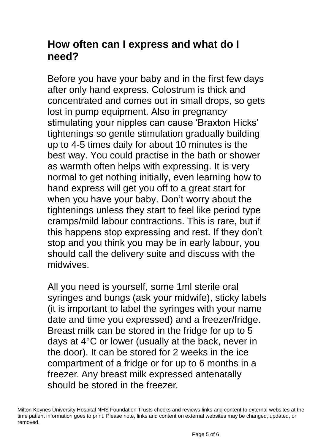### **How often can I express and what do I need?**

Before you have your baby and in the first few days after only hand express. Colostrum is thick and concentrated and comes out in small drops, so gets lost in pump equipment. Also in pregnancy stimulating your nipples can cause 'Braxton Hicks' tightenings so gentle stimulation gradually building up to 4-5 times daily for about 10 minutes is the best way. You could practise in the bath or shower as warmth often helps with expressing. It is very normal to get nothing initially, even learning how to hand express will get you off to a great start for when you have your baby. Don't worry about the tightenings unless they start to feel like period type cramps/mild labour contractions. This is rare, but if this happens stop expressing and rest. If they don't stop and you think you may be in early labour, you should call the delivery suite and discuss with the midwives.

All you need is yourself, some 1ml sterile oral syringes and bungs (ask your midwife), sticky labels (it is important to label the syringes with your name date and time you expressed) and a freezer/fridge. Breast milk can be stored in the fridge for up to 5 days at 4°C or lower (usually at the back, never in the door). It can be stored for 2 weeks in the ice compartment of a fridge or for up to 6 months in a freezer. Any breast milk expressed antenatally should be stored in the freezer.

Milton Keynes University Hospital NHS Foundation Trusts checks and reviews links and content to external websites at the time patient information goes to print. Please note, links and content on external websites may be changed, updated, or removed.